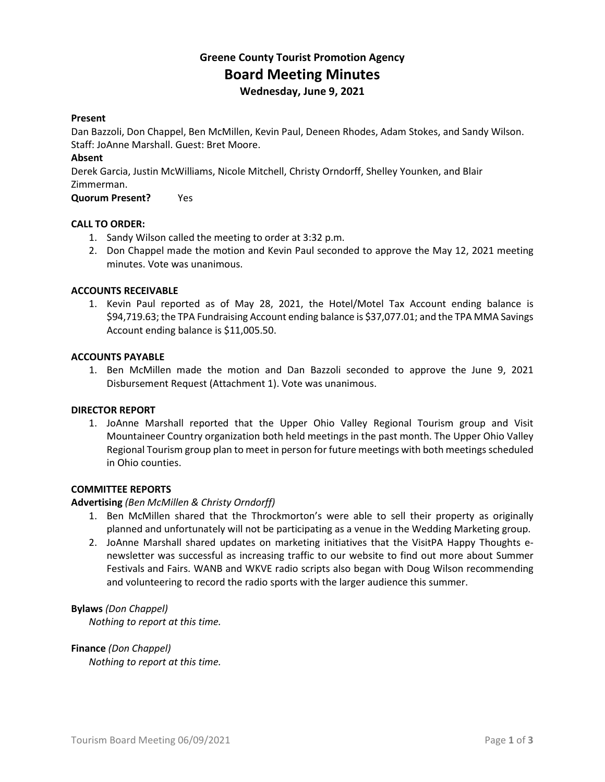# **Greene County Tourist Promotion Agency Board Meeting Minutes Wednesday, June 9, 2021**

#### **Present**

Dan Bazzoli, Don Chappel, Ben McMillen, Kevin Paul, Deneen Rhodes, Adam Stokes, and Sandy Wilson. Staff: JoAnne Marshall. Guest: Bret Moore.

## **Absent**

Derek Garcia, Justin McWilliams, Nicole Mitchell, Christy Orndorff, Shelley Younken, and Blair Zimmerman.

**Quorum Present?** Yes

#### **CALL TO ORDER:**

- 1. Sandy Wilson called the meeting to order at 3:32 p.m.
- 2. Don Chappel made the motion and Kevin Paul seconded to approve the May 12, 2021 meeting minutes. Vote was unanimous.

#### **ACCOUNTS RECEIVABLE**

1. Kevin Paul reported as of May 28, 2021, the Hotel/Motel Tax Account ending balance is \$94,719.63; the TPA Fundraising Account ending balance is \$37,077.01; and the TPA MMA Savings Account ending balance is \$11,005.50.

#### **ACCOUNTS PAYABLE**

1. Ben McMillen made the motion and Dan Bazzoli seconded to approve the June 9, 2021 Disbursement Request (Attachment 1). Vote was unanimous.

#### **DIRECTOR REPORT**

1. JoAnne Marshall reported that the Upper Ohio Valley Regional Tourism group and Visit Mountaineer Country organization both held meetings in the past month. The Upper Ohio Valley Regional Tourism group plan to meet in person for future meetings with both meetings scheduled in Ohio counties.

# **COMMITTEE REPORTS**

## **Advertising** *(Ben McMillen & Christy Orndorff)*

- 1. Ben McMillen shared that the Throckmorton's were able to sell their property as originally planned and unfortunately will not be participating as a venue in the Wedding Marketing group.
- 2. JoAnne Marshall shared updates on marketing initiatives that the VisitPA Happy Thoughts enewsletter was successful as increasing traffic to our website to find out more about Summer Festivals and Fairs. WANB and WKVE radio scripts also began with Doug Wilson recommending and volunteering to record the radio sports with the larger audience this summer.

## **Bylaws** *(Don Chappel)*

*Nothing to report at this time.*

**Finance** *(Don Chappel) Nothing to report at this time.*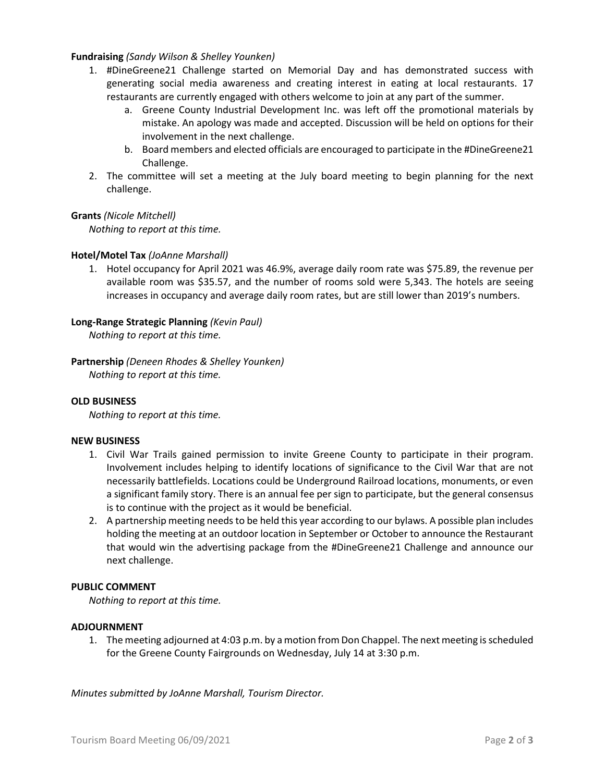#### **Fundraising** *(Sandy Wilson & Shelley Younken)*

- 1. #DineGreene21 Challenge started on Memorial Day and has demonstrated success with generating social media awareness and creating interest in eating at local restaurants. 17 restaurants are currently engaged with others welcome to join at any part of the summer.
	- a. Greene County Industrial Development Inc. was left off the promotional materials by mistake. An apology was made and accepted. Discussion will be held on options for their involvement in the next challenge.
	- b. Board members and elected officials are encouraged to participate in the #DineGreene21 Challenge.
- 2. The committee will set a meeting at the July board meeting to begin planning for the next challenge.

#### **Grants** *(Nicole Mitchell)*

*Nothing to report at this time.*

#### **Hotel/Motel Tax** *(JoAnne Marshall)*

1. Hotel occupancy for April 2021 was 46.9%, average daily room rate was \$75.89, the revenue per available room was \$35.57, and the number of rooms sold were 5,343. The hotels are seeing increases in occupancy and average daily room rates, but are still lower than 2019's numbers.

#### **Long-Range Strategic Planning** *(Kevin Paul)*

*Nothing to report at this time.*

**Partnership** *(Deneen Rhodes & Shelley Younken) Nothing to report at this time.*

#### **OLD BUSINESS**

*Nothing to report at this time.*

#### **NEW BUSINESS**

- 1. Civil War Trails gained permission to invite Greene County to participate in their program. Involvement includes helping to identify locations of significance to the Civil War that are not necessarily battlefields. Locations could be Underground Railroad locations, monuments, or even a significant family story. There is an annual fee per sign to participate, but the general consensus is to continue with the project as it would be beneficial.
- 2. A partnership meeting needs to be held this year according to our bylaws. A possible plan includes holding the meeting at an outdoor location in September or October to announce the Restaurant that would win the advertising package from the #DineGreene21 Challenge and announce our next challenge.

#### **PUBLIC COMMENT**

*Nothing to report at this time.*

#### **ADJOURNMENT**

1. The meeting adjourned at 4:03 p.m. by a motion from Don Chappel. The next meeting is scheduled for the Greene County Fairgrounds on Wednesday, July 14 at 3:30 p.m.

*Minutes submitted by JoAnne Marshall, Tourism Director.*